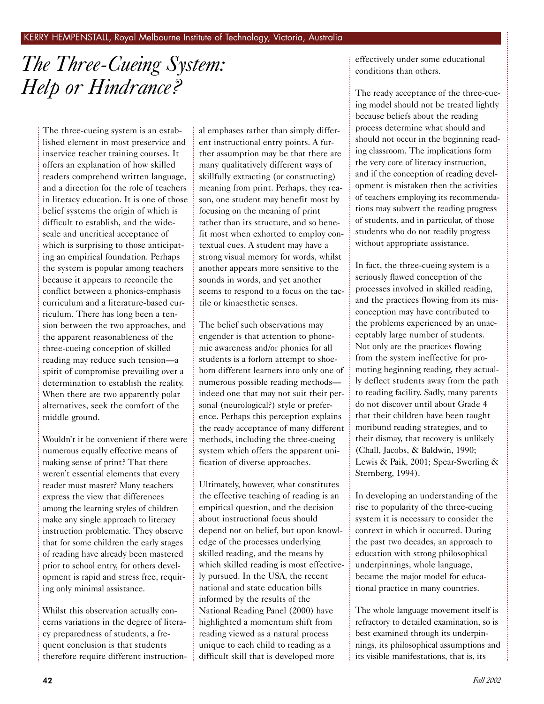## *The Three-Cueing System: Help or Hindrance?*

The three-cueing system is an established element in most preservice and inservice teacher training courses. It offers an explanation of how skilled readers comprehend written language, and a direction for the role of teachers in literacy education. It is one of those belief systems the origin of which is difficult to establish, and the widescale and uncritical acceptance of which is surprising to those anticipating an empirical foundation. Perhaps the system is popular among teachers because it appears to reconcile the conflict between a phonics-emphasis curriculum and a literature-based curriculum. There has long been a tension between the two approaches, and the apparent reasonableness of the three-cueing conception of skilled reading may reduce such tension—a spirit of compromise prevailing over a determination to establish the reality. When there are two apparently polar alternatives, seek the comfort of the middle ground.

Wouldn't it be convenient if there were numerous equally effective means of making sense of print? That there weren't essential elements that every reader must master? Many teachers express the view that differences among the learning styles of children make any single approach to literacy instruction problematic. They observe that for some children the early stages of reading have already been mastered prior to school entry, for others development is rapid and stress free, requiring only minimal assistance.

Whilst this observation actually concerns variations in the degree of literacy preparedness of students, a frequent conclusion is that students therefore require different instructional emphases rather than simply different instructional entry points. A further assumption may be that there are many qualitatively different ways of skillfully extracting (or constructing) meaning from print. Perhaps, they reason, one student may benefit most by focusing on the meaning of print rather than its structure, and so benefit most when exhorted to employ contextual cues. A student may have a strong visual memory for words, whilst another appears more sensitive to the sounds in words, and yet another seems to respond to a focus on the tactile or kinaesthetic senses.

The belief such observations may engender is that attention to phonemic awareness and/or phonics for all students is a forlorn attempt to shoehorn different learners into only one of numerous possible reading methods indeed one that may not suit their personal (neurological?) style or preference. Perhaps this perception explains the ready acceptance of many different methods, including the three-cueing system which offers the apparent unification of diverse approaches.

Ultimately, however, what constitutes the effective teaching of reading is an empirical question, and the decision about instructional focus should depend not on belief, but upon knowledge of the processes underlying skilled reading, and the means by which skilled reading is most effectively pursued. In the USA, the recent national and state education bills informed by the results of the National Reading Panel (2000) have highlighted a momentum shift from reading viewed as a natural process unique to each child to reading as a difficult skill that is developed more

effectively under some educational conditions than others.

The ready acceptance of the three-cueing model should not be treated lightly because beliefs about the reading process determine what should and should not occur in the beginning reading classroom. The implications form the very core of literacy instruction, and if the conception of reading development is mistaken then the activities of teachers employing its recommendations may subvert the reading progress of students, and in particular, of those students who do not readily progress without appropriate assistance.

In fact, the three-cueing system is a seriously flawed conception of the processes involved in skilled reading, and the practices flowing from its misconception may have contributed to the problems experienced by an unacceptably large number of students. Not only are the practices flowing from the system ineffective for promoting beginning reading, they actually deflect students away from the path to reading facility. Sadly, many parents do not discover until about Grade 4 that their children have been taught moribund reading strategies, and to their dismay, that recovery is unlikely (Chall, Jacobs, & Baldwin, 1990; Lewis & Paik, 2001; Spear-Swerling & Sternberg, 1994).

In developing an understanding of the rise to popularity of the three-cueing system it is necessary to consider the context in which it occurred. During the past two decades, an approach to education with strong philosophical underpinnings, whole language, became the major model for educational practice in many countries.

The whole language movement itself is refractory to detailed examination, so is best examined through its underpinnings, its philosophical assumptions and its visible manifestations, that is, its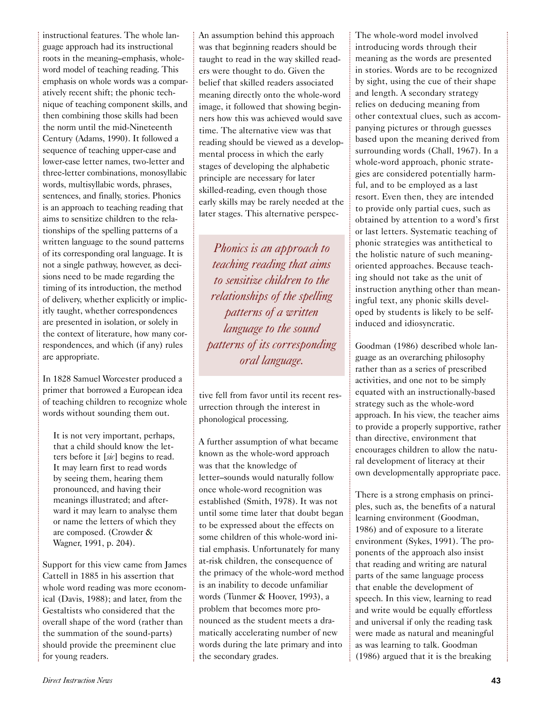instructional features. The whole language approach had its instructional roots in the meaning–emphasis, wholeword model of teaching reading. This emphasis on whole words was a comparatively recent shift; the phonic technique of teaching component skills, and then combining those skills had been the norm until the mid-Nineteenth Century (Adams, 1990). It followed a sequence of teaching upper-case and lower-case letter names, two-letter and three-letter combinations, monosyllabic words, multisyllabic words, phrases, sentences, and finally, stories. Phonics is an approach to teaching reading that aims to sensitize children to the relationships of the spelling patterns of a written language to the sound patterns of its corresponding oral language. It is not a single pathway, however, as decisions need to be made regarding the timing of its introduction, the method of delivery, whether explicitly or implicitly taught, whether correspondences are presented in isolation, or solely in the context of literature, how many correspondences, and which (if any) rules are appropriate.

In 1828 Samuel Worcester produced a primer that borrowed a European idea of teaching children to recognize whole words without sounding them out.

It is not very important, perhaps, that a child should know the letters before it [*sic*] begins to read. It may learn first to read words by seeing them, hearing them pronounced, and having their meanings illustrated; and afterward it may learn to analyse them or name the letters of which they are composed. (Crowder & Wagner, 1991, p. 204).

Support for this view came from James Cattell in 1885 in his assertion that whole word reading was more economical (Davis, 1988); and later, from the Gestaltists who considered that the overall shape of the word (rather than the summation of the sound-parts) should provide the preeminent clue for young readers.

An assumption behind this approach was that beginning readers should be taught to read in the way skilled readers were thought to do. Given the belief that skilled readers associated meaning directly onto the whole-word image, it followed that showing beginners how this was achieved would save time. The alternative view was that reading should be viewed as a developmental process in which the early stages of developing the alphabetic principle are necessary for later skilled-reading, even though those early skills may be rarely needed at the later stages. This alternative perspec-

*Phonics is an approach to teaching reading that aims to sensitize children to the relationships of the spelling patterns of a written language to the sound patterns of its corresponding oral language.*

tive fell from favor until its recent resurrection through the interest in phonological processing.

A further assumption of what became known as the whole-word approach was that the knowledge of letter–sounds would naturally follow once whole-word recognition was established (Smith, 1978). It was not until some time later that doubt began to be expressed about the effects on some children of this whole-word initial emphasis. Unfortunately for many at-risk children, the consequence of the primacy of the whole-word method is an inability to decode unfamiliar words (Tunmer & Hoover, 1993), a problem that becomes more pronounced as the student meets a dramatically accelerating number of new words during the late primary and into the secondary grades.

The whole-word model involved introducing words through their meaning as the words are presented in stories. Words are to be recognized by sight, using the cue of their shape and length. A secondary strategy relies on deducing meaning from other contextual clues, such as accompanying pictures or through guesses based upon the meaning derived from surrounding words (Chall, 1967). In a whole-word approach, phonic strategies are considered potentially harmful, and to be employed as a last resort. Even then, they are intended to provide only partial cues, such as obtained by attention to a word's first or last letters. Systematic teaching of phonic strategies was antithetical to the holistic nature of such meaningoriented approaches. Because teaching should not take as the unit of instruction anything other than meaningful text, any phonic skills developed by students is likely to be selfinduced and idiosyncratic.

Goodman (1986) described whole language as an overarching philosophy rather than as a series of prescribed activities, and one not to be simply equated with an instructionally-based strategy such as the whole-word approach. In his view, the teacher aims to provide a properly supportive, rather than directive, environment that encourages children to allow the natural development of literacy at their own developmentally appropriate pace.

There is a strong emphasis on principles, such as, the benefits of a natural learning environment (Goodman, 1986) and of exposure to a literate environment (Sykes, 1991). The proponents of the approach also insist that reading and writing are natural parts of the same language process that enable the development of speech. In this view, learning to read and write would be equally effortless and universal if only the reading task were made as natural and meaningful as was learning to talk. Goodman (1986) argued that it is the breaking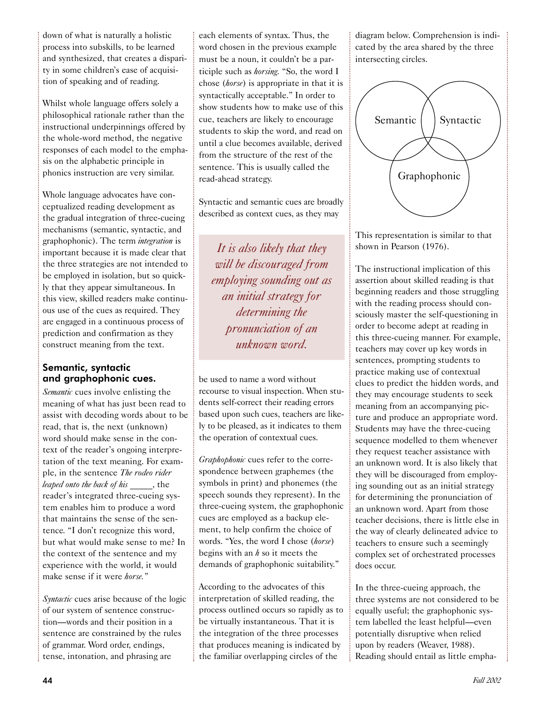down of what is naturally a holistic process into subskills, to be learned and synthesized, that creates a disparity in some children's ease of acquisition of speaking and of reading.

Whilst whole language offers solely a philosophical rationale rather than the instructional underpinnings offered by the whole-word method, the negative responses of each model to the emphasis on the alphabetic principle in phonics instruction are very similar.

Whole language advocates have conceptualized reading development as the gradual integration of three-cueing mechanisms (semantic, syntactic, and graphophonic). The term *integration* is important because it is made clear that the three strategies are not intended to be employed in isolation, but so quickly that they appear simultaneous. In this view, skilled readers make continuous use of the cues as required. They are engaged in a continuous process of prediction and confirmation as they construct meaning from the text.

#### Semantic, syntactic and graphophonic cues.

*Semantic* cues involve enlisting the meaning of what has just been read to assist with decoding words about to be read, that is, the next (unknown) word should make sense in the context of the reader's ongoing interpretation of the text meaning. For example, in the sentence *The rodeo rider leaped onto the back of his \_\_\_\_*\_, the reader's integrated three-cueing system enables him to produce a word that maintains the sense of the sentence*.* "I don't recognize this word, but what would make sense to me? In the context of the sentence and my experience with the world, it would make sense if it were *horse."*

*Syntactic* cues arise because of the logic of our system of sentence construction—words and their position in a sentence are constrained by the rules of grammar. Word order, endings, tense, intonation, and phrasing are

each elements of syntax. Thus, the word chosen in the previous example must be a noun, it couldn't be a participle such as *horsing.* "So, the word I chose (*horse*) is appropriate in that it is syntactically acceptable." In order to show students how to make use of this cue, teachers are likely to encourage students to skip the word, and read on until a clue becomes available, derived from the structure of the rest of the sentence. This is usually called the read-ahead strategy.

Syntactic and semantic cues are broadly described as context cues, as they may

*It is also likely that they will be discouraged from employing sounding out as an initial strategy for determining the pronunciation of an unknown word.*

be used to name a word without recourse to visual inspection. When students self-correct their reading errors based upon such cues, teachers are likely to be pleased, as it indicates to them the operation of contextual cues.

*Graphophonic* cues refer to the correspondence between graphemes (the symbols in print) and phonemes (the speech sounds they represent). In the three-cueing system, the graphophonic cues are employed as a backup element, to help confirm the choice of words. "Yes, the word I chose (*horse*) begins with an *h* so it meets the demands of graphophonic suitability."

According to the advocates of this interpretation of skilled reading, the process outlined occurs so rapidly as to be virtually instantaneous. That it is the integration of the three processes that produces meaning is indicated by the familiar overlapping circles of the

diagram below. Comprehension is indicated by the area shared by the three intersecting circles.



This representation is similar to that shown in Pearson (1976).

The instructional implication of this assertion about skilled reading is that beginning readers and those struggling with the reading process should consciously master the self-questioning in order to become adept at reading in this three-cueing manner. For example, teachers may cover up key words in sentences, prompting students to practice making use of contextual clues to predict the hidden words, and they may encourage students to seek meaning from an accompanying picture and produce an appropriate word. Students may have the three-cueing sequence modelled to them whenever they request teacher assistance with an unknown word. It is also likely that they will be discouraged from employing sounding out as an initial strategy for determining the pronunciation of an unknown word. Apart from those teacher decisions, there is little else in the way of clearly delineated advice to teachers to ensure such a seemingly complex set of orchestrated processes does occur.

In the three-cueing approach, the three systems are not considered to be equally useful; the graphophonic system labelled the least helpful—even potentially disruptive when relied upon by readers (Weaver, 1988). Reading should entail as little empha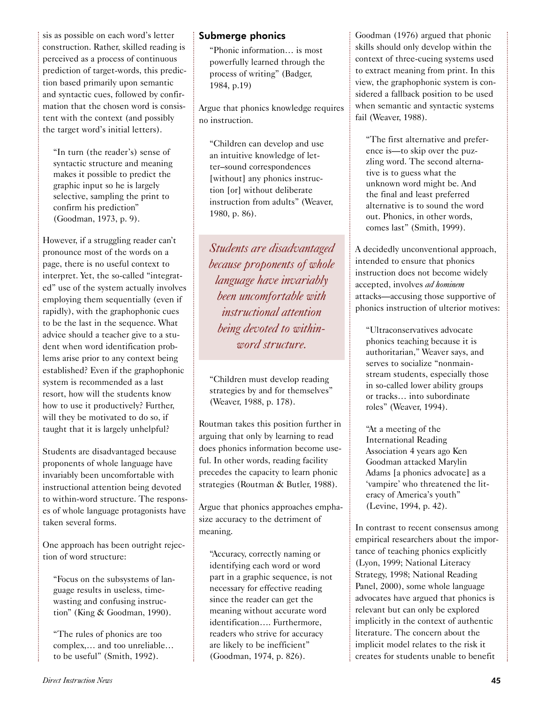sis as possible on each word's letter construction. Rather, skilled reading is perceived as a process of continuous prediction of target-words, this prediction based primarily upon semantic and syntactic cues, followed by confirmation that the chosen word is consistent with the context (and possibly the target word's initial letters).

"In turn (the reader's) sense of syntactic structure and meaning makes it possible to predict the graphic input so he is largely selective, sampling the print to confirm his prediction" (Goodman, 1973, p. 9).

However, if a struggling reader can't pronounce most of the words on a page, there is no useful context to interpret. Yet, the so-called "integrated" use of the system actually involves employing them sequentially (even if rapidly), with the graphophonic cues to be the last in the sequence. What advice should a teacher give to a student when word identification problems arise prior to any context being established? Even if the graphophonic system is recommended as a last resort, how will the students know how to use it productively? Further, will they be motivated to do so, if taught that it is largely unhelpful?

Students are disadvantaged because proponents of whole language have invariably been uncomfortable with instructional attention being devoted to within-word structure. The responses of whole language protagonists have taken several forms.

One approach has been outright rejection of word structure:

"Focus on the subsystems of language results in useless, timewasting and confusing instruction" (King & Goodman, 1990).

"The rules of phonics are too complex,… and too unreliable… to be useful" (Smith, 1992).

#### Submerge phonics

"Phonic information… is most powerfully learned through the process of writing" (Badger, 1984, p.19)

Argue that phonics knowledge requires no instruction.

"Children can develop and use an intuitive knowledge of letter–sound correspondences [without] any phonics instruction [or] without deliberate instruction from adults" (Weaver, 1980, p. 86).

*Students are disadvantaged because proponents of whole language have invariably been uncomfortable with instructional attention being devoted to withinword structure.*

"Children must develop reading strategies by and for themselves" (Weaver, 1988, p. 178).

Routman takes this position further in arguing that only by learning to read does phonics information become useful. In other words, reading facility precedes the capacity to learn phonic strategies (Routman & Butler, 1988).

Argue that phonics approaches emphasize accuracy to the detriment of meaning.

"Accuracy, correctly naming or identifying each word or word part in a graphic sequence, is not necessary for effective reading since the reader can get the meaning without accurate word identification…. Furthermore, readers who strive for accuracy are likely to be inefficient" (Goodman, 1974, p. 826).

Goodman (1976) argued that phonic skills should only develop within the context of three-cueing systems used to extract meaning from print. In this view, the graphophonic system is considered a fallback position to be used when semantic and syntactic systems fail (Weaver, 1988).

"The first alternative and preference is—to skip over the puzzling word. The second alternative is to guess what the unknown word might be. And the final and least preferred alternative is to sound the word out. Phonics, in other words, comes last" (Smith, 1999).

A decidedly unconventional approach, intended to ensure that phonics instruction does not become widely accepted, involves *ad hominem* attacks—accusing those supportive of phonics instruction of ulterior motives:

"Ultraconservatives advocate phonics teaching because it is authoritarian," Weaver says, and serves to socialize "nonmainstream students, especially those in so-called lower ability groups or tracks… into subordinate roles" (Weaver, 1994).

"At a meeting of the International Reading Association 4 years ago Ken Goodman attacked Marylin Adams [a phonics advocate] as a 'vampire' who threatened the literacy of America's youth" (Levine, 1994, p. 42).

In contrast to recent consensus among empirical researchers about the importance of teaching phonics explicitly (Lyon, 1999; National Literacy Strategy, 1998; National Reading Panel, 2000), some whole language advocates have argued that phonics is relevant but can only be explored implicitly in the context of authentic literature. The concern about the implicit model relates to the risk it creates for students unable to benefit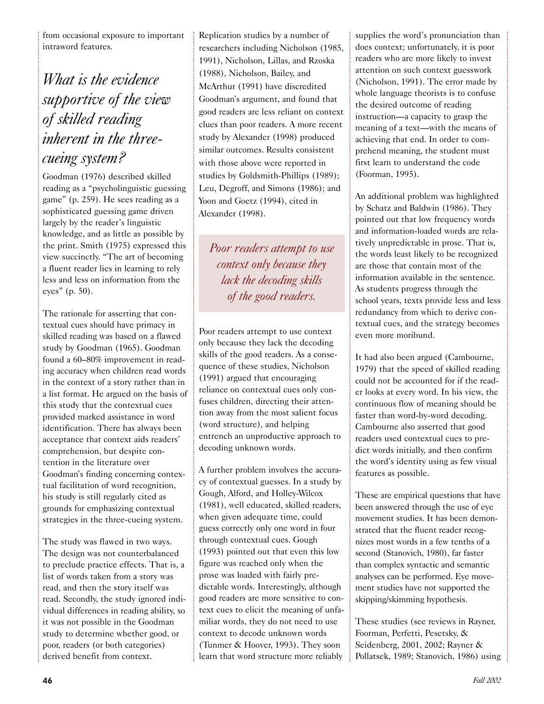from occasional exposure to important intraword features.

### *What is the evidence supportive of the view of skilled reading inherent in the threecueing system?*

Goodman (1976) described skilled reading as a "psycholinguistic guessing game" (p. 259). He sees reading as a sophisticated guessing game driven largely by the reader's linguistic knowledge, and as little as possible by the print. Smith (1975) expressed this view succinctly. "The art of becoming a fluent reader lies in learning to rely less and less on information from the eyes" (p. 50).

The rationale for asserting that contextual cues should have primacy in skilled reading was based on a flawed study by Goodman (1965). Goodman found a 60–80% improvement in reading accuracy when children read words in the context of a story rather than in a list format. He argued on the basis of this study that the contextual cues provided marked assistance in word identification. There has always been acceptance that context aids readers' comprehension, but despite contention in the literature over Goodman's finding concerning contextual facilitation of word recognition, his study is still regularly cited as grounds for emphasizing contextual strategies in the three-cueing system.

The study was flawed in two ways. The design was not counterbalanced to preclude practice effects. That is, a list of words taken from a story was read, and then the story itself was read. Secondly, the study ignored individual differences in reading ability, so it was not possible in the Goodman study to determine whether good, or poor, readers (or both categories) derived benefit from context.

Replication studies by a number of researchers including Nicholson (1985, 1991), Nicholson, Lillas, and Rzoska (1988), Nicholson, Bailey, and McArthur (1991) have discredited Goodman's argument, and found that good readers are less reliant on context clues than poor readers. A more recent study by Alexander (1998) produced similar outcomes. Results consistent with those above were reported in studies by Goldsmith-Phillips (1989); Leu, Degroff, and Simons (1986); and Yoon and Goetz (1994), cited in Alexander (1998).

*Poor readers attempt to use context only because they lack the decoding skills of the good readers.*

Poor readers attempt to use context only because they lack the decoding skills of the good readers. As a consequence of these studies, Nicholson (1991) argued that encouraging reliance on contextual cues only confuses children, directing their attention away from the most salient focus (word structure), and helping entrench an unproductive approach to decoding unknown words.

A further problem involves the accuracy of contextual guesses. In a study by Gough, Alford, and Holley-Wilcox (1981), well educated, skilled readers, when given adequate time, could guess correctly only one word in four through contextual cues. Gough (1993) pointed out that even this low figure was reached only when the prose was loaded with fairly predictable words. Interestingly, although good readers are more sensitive to context cues to elicit the meaning of unfamiliar words, they do not need to use context to decode unknown words (Tunmer & Hoover, 1993). They soon learn that word structure more reliably

supplies the word's pronunciation than does context; unfortunately, it is poor readers who are more likely to invest attention on such context guesswork (Nicholson, 1991). The error made by whole language theorists is to confuse the desired outcome of reading instruction—a capacity to grasp the meaning of a text—with the means of achieving that end. In order to comprehend meaning, the student must first learn to understand the code (Foorman, 1995).

An additional problem was highlighted by Schatz and Baldwin (1986). They pointed out that low frequency words and information-loaded words are relatively unpredictable in prose. That is, the words least likely to be recognized are those that contain most of the information available in the sentence. As students progress through the school years, texts provide less and less redundancy from which to derive contextual cues, and the strategy becomes even more moribund.

It had also been argued (Cambourne, 1979) that the speed of skilled reading could not be accounted for if the reader looks at every word. In his view, the continuous flow of meaning should be faster than word-by-word decoding. Cambourne also asserted that good readers used contextual cues to predict words initially, and then confirm the word's identity using as few visual features as possible.

These are empirical questions that have been answered through the use of eye movement studies. It has been demonstrated that the fluent reader recognizes most words in a few tenths of a second (Stanovich, 1980), far faster than complex syntactic and semantic analyses can be performed. Eye movement studies have not supported the skipping/skimming hypothesis.

These studies (see reviews in Rayner, Foorman, Perfetti, Pesetsky, & Seidenberg, 2001, 2002; Rayner & Pollatsek, 1989; Stanovich, 1986) using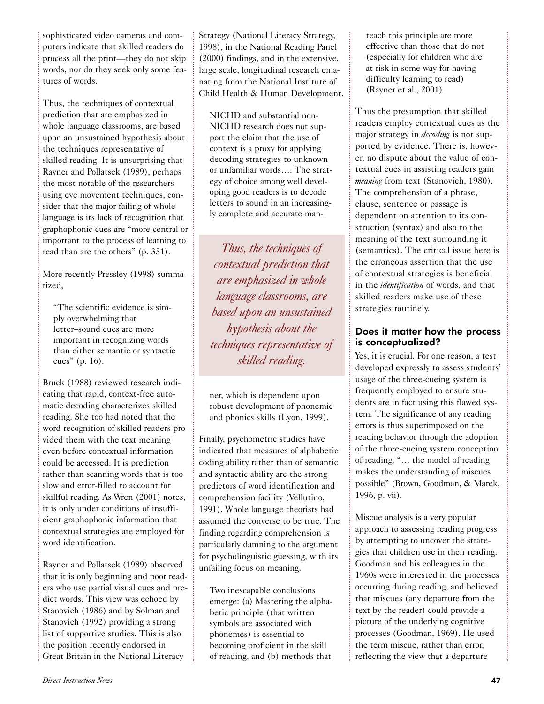sophisticated video cameras and computers indicate that skilled readers do process all the print—they do not skip words, nor do they seek only some features of words.

Thus, the techniques of contextual prediction that are emphasized in whole language classrooms, are based upon an unsustained hypothesis about the techniques representative of skilled reading. It is unsurprising that Rayner and Pollatsek (1989), perhaps the most notable of the researchers using eye movement techniques, consider that the major failing of whole language is its lack of recognition that graphophonic cues are "more central or important to the process of learning to read than are the others" (p. 351).

More recently Pressley (1998) summarized,

"The scientific evidence is simply overwhelming that letter–sound cues are more important in recognizing words than either semantic or syntactic cues" (p. 16).

Bruck (1988) reviewed research indicating that rapid, context-free automatic decoding characterizes skilled reading. She too had noted that the word recognition of skilled readers provided them with the text meaning even before contextual information could be accessed. It is prediction rather than scanning words that is too slow and error-filled to account for skillful reading. As Wren (2001) notes, it is only under conditions of insufficient graphophonic information that contextual strategies are employed for word identification.

Rayner and Pollatsek (1989) observed that it is only beginning and poor readers who use partial visual cues and predict words. This view was echoed by Stanovich (1986) and by Solman and Stanovich (1992) providing a strong list of supportive studies. This is also the position recently endorsed in Great Britain in the National Literacy

Strategy (National Literacy Strategy, 1998), in the National Reading Panel (2000) findings, and in the extensive, large scale, longitudinal research emanating from the National Institute of Child Health & Human Development.

NICHD and substantial non-NICHD research does not support the claim that the use of context is a proxy for applying decoding strategies to unknown or unfamiliar words…. The strategy of choice among well developing good readers is to decode letters to sound in an increasingly complete and accurate man-

*Thus, the techniques of contextual prediction that are emphasized in whole language classrooms, are based upon an unsustained hypothesis about the techniques representative of skilled reading.*

ner, which is dependent upon robust development of phonemic and phonics skills (Lyon, 1999).

Finally, psychometric studies have indicated that measures of alphabetic coding ability rather than of semantic and syntactic ability are the strong predictors of word identification and comprehension facility (Vellutino, 1991). Whole language theorists had assumed the converse to be true. The finding regarding comprehension is particularly damning to the argument for psycholinguistic guessing, with its unfailing focus on meaning.

Two inescapable conclusions emerge: (a) Mastering the alphabetic principle (that written symbols are associated with phonemes) is essential to becoming proficient in the skill of reading, and (b) methods that teach this principle are more effective than those that do not (especially for children who are at risk in some way for having difficulty learning to read) (Rayner et al., 2001).

Thus the presumption that skilled readers employ contextual cues as the major strategy in *decoding* is not supported by evidence. There is, however, no dispute about the value of contextual cues in assisting readers gain *meaning* from text (Stanovich, 1980). The comprehension of a phrase, clause, sentence or passage is dependent on attention to its construction (syntax) and also to the meaning of the text surrounding it (semantics). The critical issue here is the erroneous assertion that the use of contextual strategies is beneficial in the *identification* of words, and that skilled readers make use of these strategies routinely.

#### Does it matter how the process is conceptualized?

Yes, it is crucial. For one reason, a test developed expressly to assess students' usage of the three-cueing system is frequently employed to ensure students are in fact using this flawed system. The significance of any reading errors is thus superimposed on the reading behavior through the adoption of the three-cueing system conception of reading. "… the model of reading makes the understanding of miscues possible" (Brown, Goodman, & Marek, 1996, p. vii).

Miscue analysis is a very popular approach to assessing reading progress by attempting to uncover the strategies that children use in their reading. Goodman and his colleagues in the 1960s were interested in the processes occurring during reading, and believed that miscues (any departure from the text by the reader) could provide a picture of the underlying cognitive processes (Goodman, 1969). He used the term miscue, rather than error, reflecting the view that a departure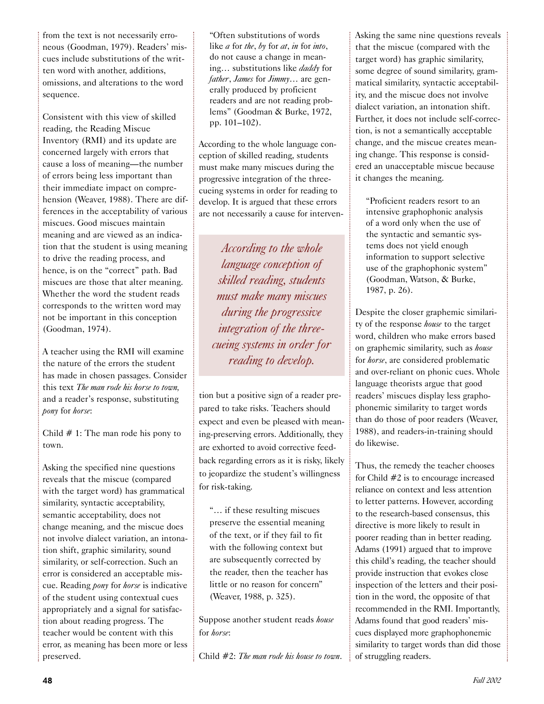from the text is not necessarily erroneous (Goodman, 1979). Readers' miscues include substitutions of the written word with another, additions, omissions, and alterations to the word sequence.

Consistent with this view of skilled reading, the Reading Miscue Inventory (RMI) and its update are concerned largely with errors that cause a loss of meaning—the number of errors being less important than their immediate impact on comprehension (Weaver, 1988). There are differences in the acceptability of various miscues. Good miscues maintain meaning and are viewed as an indication that the student is using meaning to drive the reading process, and hence, is on the "correct" path. Bad miscues are those that alter meaning. Whether the word the student reads corresponds to the written word may not be important in this conception (Goodman, 1974).

A teacher using the RMI will examine the nature of the errors the student has made in chosen passages. Consider this text *The man rode his horse to town,* and a reader's response, substituting *pony* for *horse*:

Child  $# 1$ : The man rode his pony to town.

Asking the specified nine questions reveals that the miscue (compared with the target word) has grammatical similarity, syntactic acceptability, semantic acceptability, does not change meaning, and the miscue does not involve dialect variation, an intonation shift, graphic similarity, sound similarity, or self-correction. Such an error is considered an acceptable miscue. Reading *pony* for *horse* is indicative of the student using contextual cues appropriately and a signal for satisfaction about reading progress. The teacher would be content with this error, as meaning has been more or less preserved.

"Often substitutions of words like *a* for *the*, *by* for *at*, *in* for *into*, do not cause a change in meaning… substitutions like *daddy* for *father*, *James* for *Jimmy*… are generally produced by proficient readers and are not reading problems" (Goodman & Burke, 1972, pp. 101–102).

According to the whole language conception of skilled reading, students must make many miscues during the progressive integration of the threecueing systems in order for reading to develop. It is argued that these errors are not necessarily a cause for interven-

*According to the whole language conception of skilled reading, students must make many miscues during the progressive integration of the threecueing systems in order for reading to develop.*

tion but a positive sign of a reader prepared to take risks. Teachers should expect and even be pleased with meaning-preserving errors. Additionally, they are exhorted to avoid corrective feedback regarding errors as it is risky, likely to jeopardize the student's willingness for risk-taking.

"… if these resulting miscues preserve the essential meaning of the text, or if they fail to fit with the following context but are subsequently corrected by the reader, then the teacher has little or no reason for concern" (Weaver, 1988, p. 325).

Suppose another student reads *house* for *horse*:

Child #2: *The man rode his house to town*.

Asking the same nine questions reveals that the miscue (compared with the target word) has graphic similarity, some degree of sound similarity, grammatical similarity, syntactic acceptability, and the miscue does not involve dialect variation, an intonation shift. Further, it does not include self-correction, is not a semantically acceptable change, and the miscue creates meaning change. This response is considered an unacceptable miscue because it changes the meaning.

"Proficient readers resort to an intensive graphophonic analysis of a word only when the use of the syntactic and semantic systems does not yield enough information to support selective use of the graphophonic system" (Goodman, Watson, & Burke, 1987, p. 26).

Despite the closer graphemic similarity of the response *house* to the target word, children who make errors based on graphemic similarity, such as *house* for *horse*, are considered problematic and over-reliant on phonic cues. Whole language theorists argue that good readers' miscues display less graphophonemic similarity to target words than do those of poor readers (Weaver, 1988), and readers-in-training should do likewise.

Thus, the remedy the teacher chooses for Child #2 is to encourage increased reliance on context and less attention to letter patterns. However, according to the research-based consensus, this directive is more likely to result in poorer reading than in better reading. Adams (1991) argued that to improve this child's reading, the teacher should provide instruction that evokes close inspection of the letters and their position in the word, the opposite of that recommended in the RMI. Importantly, Adams found that good readers' miscues displayed more graphophonemic similarity to target words than did those of struggling readers.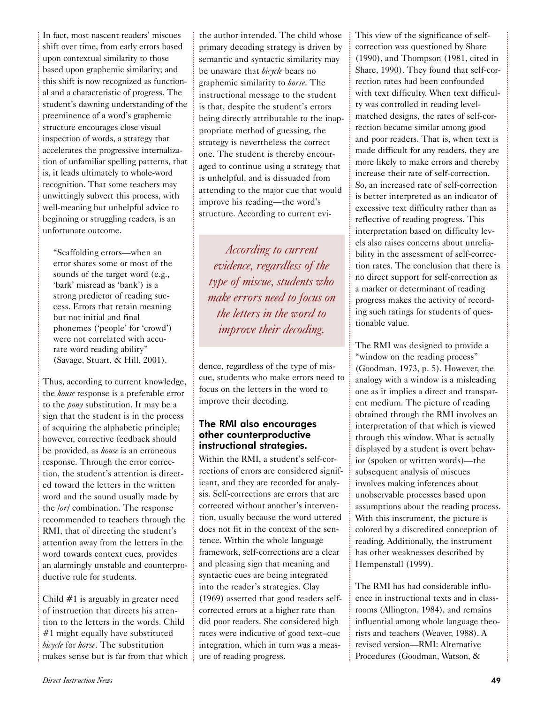In fact, most nascent readers' miscues shift over time, from early errors based upon contextual similarity to those based upon graphemic similarity; and this shift is now recognized as functional and a characteristic of progress. The student's dawning understanding of the preeminence of a word's graphemic structure encourages close visual inspection of words, a strategy that accelerates the progressive internalization of unfamiliar spelling patterns, that is, it leads ultimately to whole-word recognition. That some teachers may unwittingly subvert this process, with well-meaning but unhelpful advice to beginning or struggling readers, is an unfortunate outcome.

"Scaffolding errors—when an error shares some or most of the sounds of the target word (e.g., 'bark' misread as 'bank') is a strong predictor of reading success. Errors that retain meaning but not initial and final phonemes ('people' for 'crowd') were not correlated with accurate word reading ability" (Savage, Stuart, & Hill, 2001).

Thus, according to current knowledge, the *house* response is a preferable error to the *pony* substitution. It may be a sign that the student is in the process of acquiring the alphabetic principle; however, corrective feedback should be provided, as *house* is an erroneous response. Through the error correction, the student's attention is directed toward the letters in the written word and the sound usually made by the /*or*/ combination. The response recommended to teachers through the RMI, that of directing the student's attention away from the letters in the word towards context cues, provides an alarmingly unstable and counterproductive rule for students.

Child #1 is arguably in greater need of instruction that directs his attention to the letters in the words. Child #1 might equally have substituted *bicycle* for *horse*. The substitution makes sense but is far from that which the author intended. The child whose primary decoding strategy is driven by semantic and syntactic similarity may be unaware that *bicycle* bears no graphemic similarity to *horse*. The instructional message to the student is that, despite the student's errors being directly attributable to the inappropriate method of guessing, the strategy is nevertheless the correct one. The student is thereby encouraged to continue using a strategy that is unhelpful, and is dissuaded from attending to the major cue that would improve his reading—the word's structure. According to current evi-

*According to current evidence, regardless of the type of miscue, students who make errors need to focus on the letters in the word to improve their decoding.*

dence, regardless of the type of miscue, students who make errors need to focus on the letters in the word to improve their decoding.

#### The RMI also encourages other counterproductive instructional strategies.

Within the RMI, a student's self-corrections of errors are considered significant, and they are recorded for analysis. Self-corrections are errors that are corrected without another's intervention, usually because the word uttered does not fit in the context of the sentence. Within the whole language framework, self-corrections are a clear and pleasing sign that meaning and syntactic cues are being integrated into the reader's strategies. Clay (1969) asserted that good readers selfcorrected errors at a higher rate than did poor readers. She considered high rates were indicative of good text–cue integration, which in turn was a measure of reading progress.

This view of the significance of selfcorrection was questioned by Share (1990), and Thompson (1981, cited in Share, 1990). They found that self-correction rates had been confounded with text difficulty. When text difficulty was controlled in reading levelmatched designs, the rates of self-correction became similar among good and poor readers. That is, when text is made difficult for any readers, they are more likely to make errors and thereby increase their rate of self-correction. So, an increased rate of self-correction is better interpreted as an indicator of excessive text difficulty rather than as reflective of reading progress. This interpretation based on difficulty levels also raises concerns about unreliability in the assessment of self-correction rates. The conclusion that there is no direct support for self-correction as a marker or determinant of reading progress makes the activity of recording such ratings for students of questionable value.

The RMI was designed to provide a "window on the reading process" (Goodman, 1973, p. 5). However, the analogy with a window is a misleading one as it implies a direct and transparent medium. The picture of reading obtained through the RMI involves an interpretation of that which is viewed through this window. What is actually displayed by a student is overt behavior (spoken or written words)—the subsequent analysis of miscues involves making inferences about unobservable processes based upon assumptions about the reading process. With this instrument, the picture is colored by a discredited conception of reading. Additionally, the instrument has other weaknesses described by Hempenstall (1999).

The RMI has had considerable influence in instructional texts and in classrooms (Allington, 1984), and remains influential among whole language theorists and teachers (Weaver, 1988). A revised version—RMI: Alternative Procedures (Goodman, Watson, &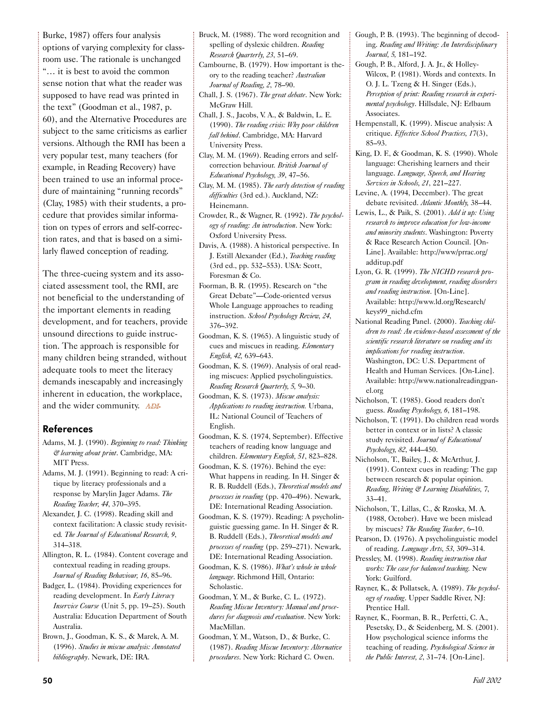Burke, 1987) offers four analysis options of varying complexity for classroom use. The rationale is unchanged "… it is best to avoid the common sense notion that what the reader was supposed to have read was printed in the text" (Goodman et al., 1987, p. 60), and the Alternative Procedures are subject to the same criticisms as earlier versions. Although the RMI has been a very popular test, many teachers (for example, in Reading Recovery) have been trained to use an informal procedure of maintaining "running records" (Clay, 1985) with their students, a procedure that provides similar information on types of errors and self-correction rates, and that is based on a similarly flawed conception of reading.

The three-cueing system and its associated assessment tool, the RMI, are not beneficial to the understanding of the important elements in reading development, and for teachers, provide unsound directions to guide instruction. The approach is responsible for many children being stranded, without adequate tools to meet the literacy demands inescapably and increasingly inherent in education, the workplace, and the wider community. ADI

#### References

- Adams, M. J. (1990). *Beginning to read: Thinking & learning about print*. Cambridge, MA: MIT Press.
- Adams, M. J. (1991). Beginning to read: A critique by literacy professionals and a response by Marylin Jager Adams. *The Reading Teacher, 44*, 370–395.

Alexander, J. C. (1998). Reading skill and context facilitation: A classic study revisited*. The Journal of Educational Research, 9*, 314–318.

Allington, R. L. (1984). Content coverage and contextual reading in reading groups. *Journal of Reading Behaviour, 16*, 85–96.

Badger, L. (1984). Providing experiences for reading development. In *Early Literacy Inservice Course* (Unit 5, pp. 19–25). South Australia: Education Department of South Australia.

Brown, J., Goodman, K. S., & Marek, A. M. (1996). *Studies in miscue analysis: Annotated bibliography*. Newark, DE: IRA.

Bruck, M. (1988). The word recognition and spelling of dyslexic children. *Reading Research Quarterly, 23*, 51–69.

Cambourne, B. (1979). How important is theory to the reading teacher? *Australian Journal of Reading, 2*, 78–90.

Chall, J. S. (1967). *The great debate*. New York: McGraw Hill.

Chall, J. S., Jacobs, V. A., & Baldwin, L. E. (1990). *The reading crisis: Why poor children fall behind*. Cambridge, MA: Harvard University Press.

Clay, M. M. (1969). Reading errors and selfcorrection behaviour*. British Journal of Educational Psychology, 39*, 47–56.

Clay, M. M. (1985). *The early detection of reading difficulties* (3rd ed.). Auckland, NZ: Heinemann.

Crowder, R., & Wagner, R. (1992). *The psychology of reading: An introduction*. New York: Oxford University Press.

Davis, A. (1988). A historical perspective. In J. Estill Alexander (Ed.), *Teaching reading* (3rd ed., pp. 532–553). USA: Scott, Foresman & Co.

Foorman, B. R. (1995). Research on "the Great Debate"—Code-oriented versus Whole Language approaches to reading instruction. *School Psychology Review, 24*, 376–392.

Goodman, K. S. (1965). A linguistic study of cues and miscues in reading. *Elementary English, 42,* 639–643.

Goodman, K. S. (1969). Analysis of oral reading miscues: Applied psycholinguistics. *Reading Research Quarterly, 5,* 9–30.

Goodman, K. S. (1973). *Miscue analysis: Applications to reading instruction.* Urbana, IL: National Council of Teachers of English.

Goodman, K. S. (1974, September). Effective teachers of reading know language and children. *Elementary English, 51*, 823–828.

Goodman, K. S. (1976). Behind the eye: What happens in reading. In H. Singer & R. B. Ruddell (Eds.), *Theoretical models and processes in reading* (pp. 470–496). Newark, DE: International Reading Association.

Goodman, K. S. (1979). Reading: A psycholinguistic guessing game. In H. Singer & R. B. Ruddell (Eds.), *Theoretical models and processes of reading* (pp. 259–271). Newark, DE: International Reading Association.

Goodman, K. S. (1986). *What's whole in whole language*. Richmond Hill, Ontario: Scholastic.

Goodman, Y. M., & Burke, C. L. (1972). *Reading Miscue Inventory: Manual and procedures for diagnosis and evaluation*. New York: MacMillan.

Goodman, Y. M., Watson, D., & Burke, C. (1987). *Reading Miscue Inventory: Alternative procedures*. New York: Richard C. Owen.

Gough, P. B. (1993). The beginning of decoding. *Reading and Writing: An Interdisciplinary Journal, 5,* 181–192.

Gough, P. B., Alford, J. A. Jr., & Holley-Wilcox, P. (1981). Words and contexts. In O. J. L. Tzeng & H. Singer (Eds.), *Perception of print: Reading research in experimental psychology*. Hillsdale, NJ: Erlbaum Associates.

- Hempenstall, K. (1999). Miscue analysis: A critique. *Effective School Practices, 17*(3), 85–93.
- King, D. F., & Goodman, K. S. (1990). Whole language: Cherishing learners and their language. *Language, Speech, and Hearing Services in Schools, 21*, 221–227.
- Levine, A. (1994, December). The great debate revisited. *Atlantic Monthly,* 38–44.

Lewis, L., & Paik, S. (2001). *Add it up: Using research to improve education for low-income and minority students*. Washington: Poverty & Race Research Action Council. [On-Line]. Available: http://www/prrac.org/ additup.pdf

Lyon, G. R. (1999). *The NICHD research program in reading development, reading disorders and reading instruction*. [On-Line]. Available: http://www.ld.org/Research/ keys99\_nichd.cfm

National Reading Panel. (2000). *Teaching children to read: An evidence-based assessment of the scientific research literature on reading and its implications for reading instruction*. Washington, DC: U.S. Department of Health and Human Services. [On-Line]. Available: http://www.nationalreadingpanel.org

- Nicholson, T. (1985). Good readers don't guess. *Reading Psychology, 6*, 181–198.
- Nicholson, T. (1991). Do children read words better in context or in lists? A classic study revisited. *Journal of Educational Psychology, 82*, 444–450.
- Nicholson, T., Bailey, J., & McArthur, J. (1991). Context cues in reading: The gap between research & popular opinion. *Reading, Writing & Learning Disabilities, 7*, 33–41.
- Nicholson, T., Lillas, C., & Rzoska, M. A. (1988, October). Have we been mislead by miscues? *The Reading Teacher*, 6–10.
- Pearson, D. (1976). A psycholinguistic model of reading. *Language Arts, 53*, 309–314.
- Pressley, M. (1998). *Reading instruction that works: The case for balanced teaching.* New York: Guilford.
- Rayner, K., & Pollatsek, A. (1989). *The psychology of reading*. Upper Saddle River, NJ: Prentice Hall.
- Rayner, K., Foorman, B. R., Perfetti, C. A., Pesetsky, D., & Seidenberg, M. S. (2001). How psychological science informs the teaching of reading. *Psychological Science in the Public Interest, 2*, 31–74. [On-Line].